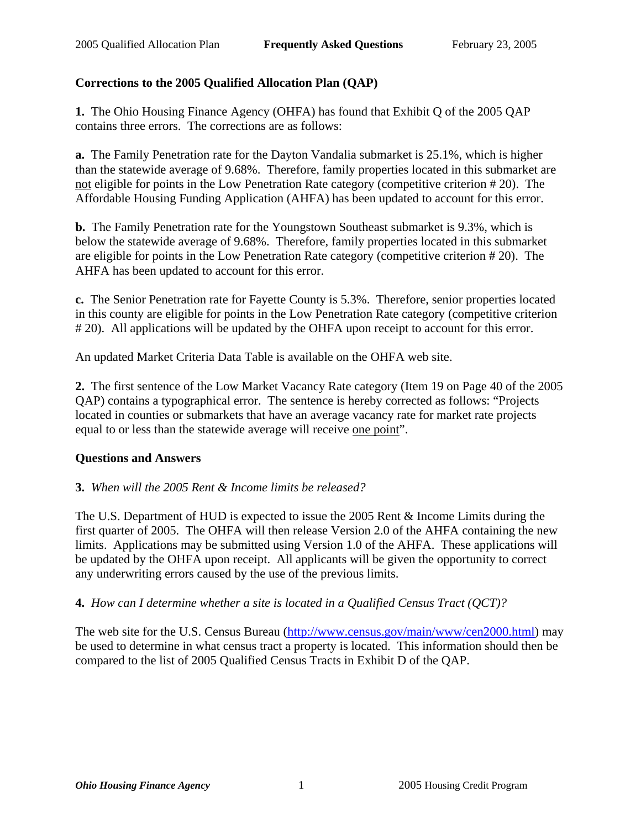## **Corrections to the 2005 Qualified Allocation Plan (QAP)**

**1.** The Ohio Housing Finance Agency (OHFA) has found that Exhibit Q of the 2005 QAP contains three errors. The corrections are as follows:

**a.** The Family Penetration rate for the Dayton Vandalia submarket is 25.1%, which is higher than the statewide average of 9.68%. Therefore, family properties located in this submarket are not eligible for points in the Low Penetration Rate category (competitive criterion # 20). The Affordable Housing Funding Application (AHFA) has been updated to account for this error.

**b.** The Family Penetration rate for the Youngstown Southeast submarket is 9.3%, which is below the statewide average of 9.68%. Therefore, family properties located in this submarket are eligible for points in the Low Penetration Rate category (competitive criterion # 20). The AHFA has been updated to account for this error.

**c.** The Senior Penetration rate for Fayette County is 5.3%. Therefore, senior properties located in this county are eligible for points in the Low Penetration Rate category (competitive criterion # 20). All applications will be updated by the OHFA upon receipt to account for this error.

An updated Market Criteria Data Table is available on the OHFA web site.

**2.** The first sentence of the Low Market Vacancy Rate category (Item 19 on Page 40 of the 2005 QAP) contains a typographical error. The sentence is hereby corrected as follows: "Projects located in counties or submarkets that have an average vacancy rate for market rate projects equal to or less than the statewide average will receive one point".

### **Questions and Answers**

### **3.** *When will the 2005 Rent & Income limits be released?*

The U.S. Department of HUD is expected to issue the 2005 Rent & Income Limits during the first quarter of 2005. The OHFA will then release Version 2.0 of the AHFA containing the new limits. Applications may be submitted using Version 1.0 of the AHFA. These applications will be updated by the OHFA upon receipt. All applicants will be given the opportunity to correct any underwriting errors caused by the use of the previous limits.

**4.** *How can I determine whether a site is located in a Qualified Census Tract (QCT)?*

The web site for the U.S. Census Bureau (http://www.census.gov/main/www/cen2000.html) may be used to determine in what census tract a property is located. This information should then be compared to the list of 2005 Qualified Census Tracts in Exhibit D of the QAP.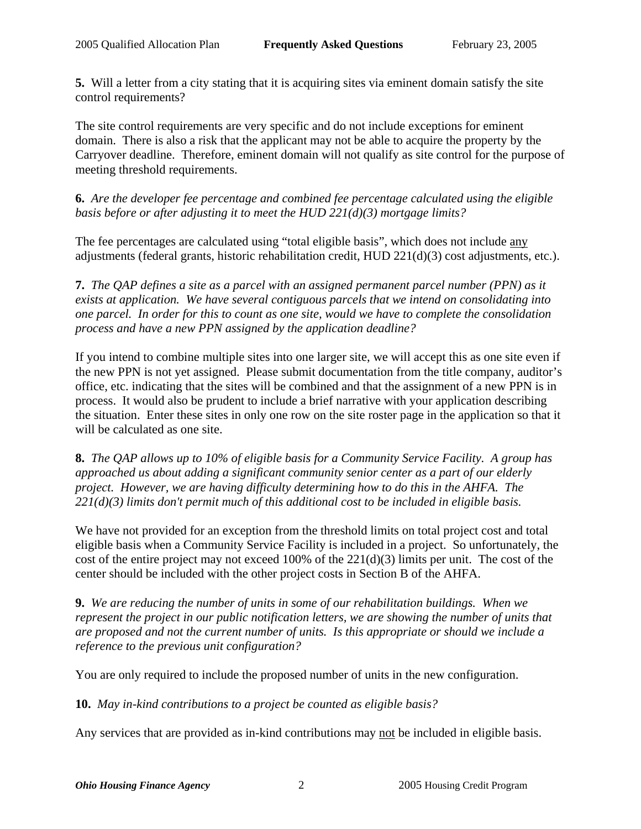**5.** Will a letter from a city stating that it is acquiring sites via eminent domain satisfy the site control requirements?

The site control requirements are very specific and do not include exceptions for eminent domain. There is also a risk that the applicant may not be able to acquire the property by the Carryover deadline. Therefore, eminent domain will not qualify as site control for the purpose of meeting threshold requirements.

**6.** *Are the developer fee percentage and combined fee percentage calculated using the eligible basis before or after adjusting it to meet the HUD 221(d)(3) mortgage limits?*

The fee percentages are calculated using "total eligible basis", which does not include any adjustments (federal grants, historic rehabilitation credit, HUD 221(d)(3) cost adjustments, etc.).

**7.** *The QAP defines a site as a parcel with an assigned permanent parcel number (PPN) as it exists at application. We have several contiguous parcels that we intend on consolidating into one parcel. In order for this to count as one site, would we have to complete the consolidation process and have a new PPN assigned by the application deadline?*

If you intend to combine multiple sites into one larger site, we will accept this as one site even if the new PPN is not yet assigned. Please submit documentation from the title company, auditor's office, etc. indicating that the sites will be combined and that the assignment of a new PPN is in process. It would also be prudent to include a brief narrative with your application describing the situation. Enter these sites in only one row on the site roster page in the application so that it will be calculated as one site.

**8.** *The QAP allows up to 10% of eligible basis for a Community Service Facility. A group has approached us about adding a significant community senior center as a part of our elderly project. However, we are having difficulty determining how to do this in the AHFA. The 221(d)(3) limits don't permit much of this additional cost to be included in eligible basis.*

We have not provided for an exception from the threshold limits on total project cost and total eligible basis when a Community Service Facility is included in a project. So unfortunately, the cost of the entire project may not exceed 100% of the 221(d)(3) limits per unit. The cost of the center should be included with the other project costs in Section B of the AHFA.

**9.** *We are reducing the number of units in some of our rehabilitation buildings. When we represent the project in our public notification letters, we are showing the number of units that are proposed and not the current number of units. Is this appropriate or should we include a reference to the previous unit configuration?*

You are only required to include the proposed number of units in the new configuration.

**10.** *May in-kind contributions to a project be counted as eligible basis?*

Any services that are provided as in-kind contributions may not be included in eligible basis.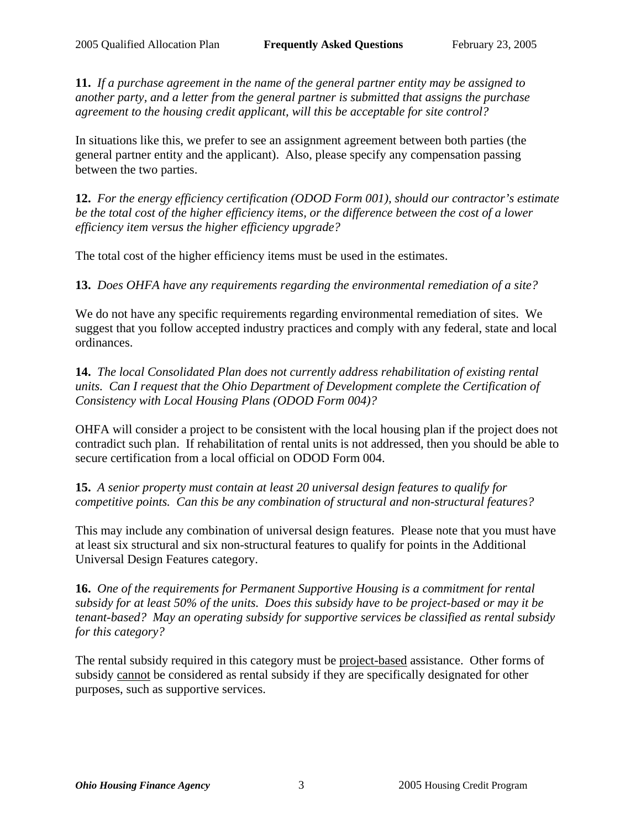**11.** *If a purchase agreement in the name of the general partner entity may be assigned to another party, and a letter from the general partner is submitted that assigns the purchase agreement to the housing credit applicant, will this be acceptable for site control?*

In situations like this, we prefer to see an assignment agreement between both parties (the general partner entity and the applicant). Also, please specify any compensation passing between the two parties.

**12.** *For the energy efficiency certification (ODOD Form 001), should our contractor's estimate be the total cost of the higher efficiency items, or the difference between the cost of a lower efficiency item versus the higher efficiency upgrade?*

The total cost of the higher efficiency items must be used in the estimates.

**13.** *Does OHFA have any requirements regarding the environmental remediation of a site?*

We do not have any specific requirements regarding environmental remediation of sites. We suggest that you follow accepted industry practices and comply with any federal, state and local ordinances.

**14.** *The local Consolidated Plan does not currently address rehabilitation of existing rental units. Can I request that the Ohio Department of Development complete the Certification of Consistency with Local Housing Plans (ODOD Form 004)?*

OHFA will consider a project to be consistent with the local housing plan if the project does not contradict such plan. If rehabilitation of rental units is not addressed, then you should be able to secure certification from a local official on ODOD Form 004.

**15.** *A senior property must contain at least 20 universal design features to qualify for competitive points. Can this be any combination of structural and non-structural features?*

This may include any combination of universal design features. Please note that you must have at least six structural and six non-structural features to qualify for points in the Additional Universal Design Features category.

**16.** *One of the requirements for Permanent Supportive Housing is a commitment for rental subsidy for at least 50% of the units. Does this subsidy have to be project-based or may it be tenant-based? May an operating subsidy for supportive services be classified as rental subsidy for this category?*

The rental subsidy required in this category must be project-based assistance. Other forms of subsidy cannot be considered as rental subsidy if they are specifically designated for other purposes, such as supportive services.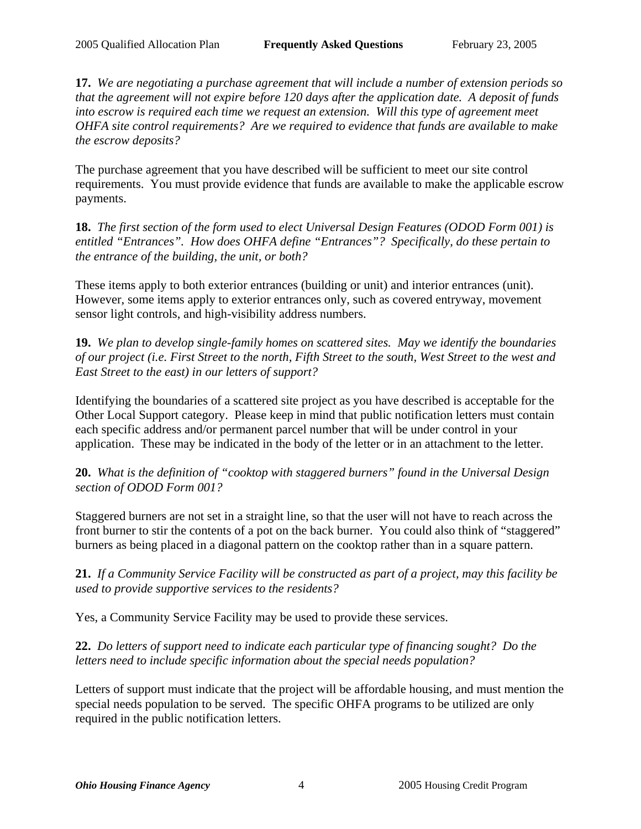**17.** *We are negotiating a purchase agreement that will include a number of extension periods so that the agreement will not expire before 120 days after the application date. A deposit of funds into escrow is required each time we request an extension. Will this type of agreement meet OHFA site control requirements? Are we required to evidence that funds are available to make the escrow deposits?*

The purchase agreement that you have described will be sufficient to meet our site control requirements. You must provide evidence that funds are available to make the applicable escrow payments.

**18.** *The first section of the form used to elect Universal Design Features (ODOD Form 001) is entitled "Entrances". How does OHFA define "Entrances"? Specifically, do these pertain to the entrance of the building, the unit, or both?*

These items apply to both exterior entrances (building or unit) and interior entrances (unit). However, some items apply to exterior entrances only, such as covered entryway, movement sensor light controls, and high-visibility address numbers.

**19.** *We plan to develop single-family homes on scattered sites. May we identify the boundaries of our project (i.e. First Street to the north, Fifth Street to the south, West Street to the west and East Street to the east) in our letters of support?*

Identifying the boundaries of a scattered site project as you have described is acceptable for the Other Local Support category. Please keep in mind that public notification letters must contain each specific address and/or permanent parcel number that will be under control in your application. These may be indicated in the body of the letter or in an attachment to the letter.

**20.** *What is the definition of "cooktop with staggered burners" found in the Universal Design section of ODOD Form 001?*

Staggered burners are not set in a straight line, so that the user will not have to reach across the front burner to stir the contents of a pot on the back burner. You could also think of "staggered" burners as being placed in a diagonal pattern on the cooktop rather than in a square pattern.

**21.** *If a Community Service Facility will be constructed as part of a project, may this facility be used to provide supportive services to the residents?*

Yes, a Community Service Facility may be used to provide these services.

**22.** *Do letters of support need to indicate each particular type of financing sought? Do the letters need to include specific information about the special needs population?*

Letters of support must indicate that the project will be affordable housing, and must mention the special needs population to be served. The specific OHFA programs to be utilized are only required in the public notification letters.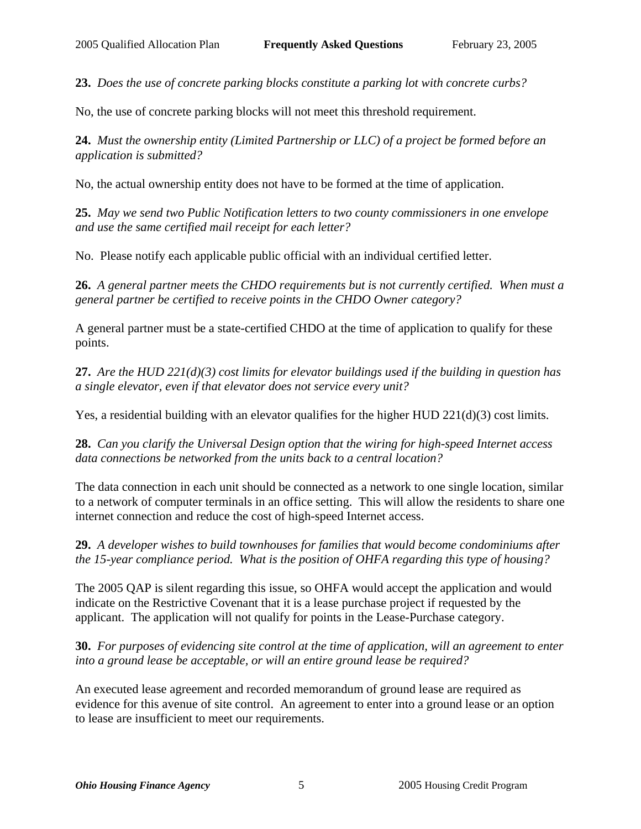**23.** *Does the use of concrete parking blocks constitute a parking lot with concrete curbs?*

No, the use of concrete parking blocks will not meet this threshold requirement.

**24.** *Must the ownership entity (Limited Partnership or LLC) of a project be formed before an application is submitted?*

No, the actual ownership entity does not have to be formed at the time of application.

**25.** *May we send two Public Notification letters to two county commissioners in one envelope and use the same certified mail receipt for each letter?*

No. Please notify each applicable public official with an individual certified letter.

**26.** *A general partner meets the CHDO requirements but is not currently certified. When must a general partner be certified to receive points in the CHDO Owner category?*

A general partner must be a state-certified CHDO at the time of application to qualify for these points.

**27.** *Are the HUD 221(d)(3) cost limits for elevator buildings used if the building in question has a single elevator, even if that elevator does not service every unit?*

Yes, a residential building with an elevator qualifies for the higher HUD 221(d)(3) cost limits.

**28.** *Can you clarify the Universal Design option that the wiring for high-speed Internet access data connections be networked from the units back to a central location?*

The data connection in each unit should be connected as a network to one single location, similar to a network of computer terminals in an office setting. This will allow the residents to share one internet connection and reduce the cost of high-speed Internet access.

**29.** *A developer wishes to build townhouses for families that would become condominiums after the 15-year compliance period. What is the position of OHFA regarding this type of housing?*

The 2005 QAP is silent regarding this issue, so OHFA would accept the application and would indicate on the Restrictive Covenant that it is a lease purchase project if requested by the applicant. The application will not qualify for points in the Lease-Purchase category.

**30.** *For purposes of evidencing site control at the time of application, will an agreement to enter into a ground lease be acceptable, or will an entire ground lease be required?*

An executed lease agreement and recorded memorandum of ground lease are required as evidence for this avenue of site control. An agreement to enter into a ground lease or an option to lease are insufficient to meet our requirements.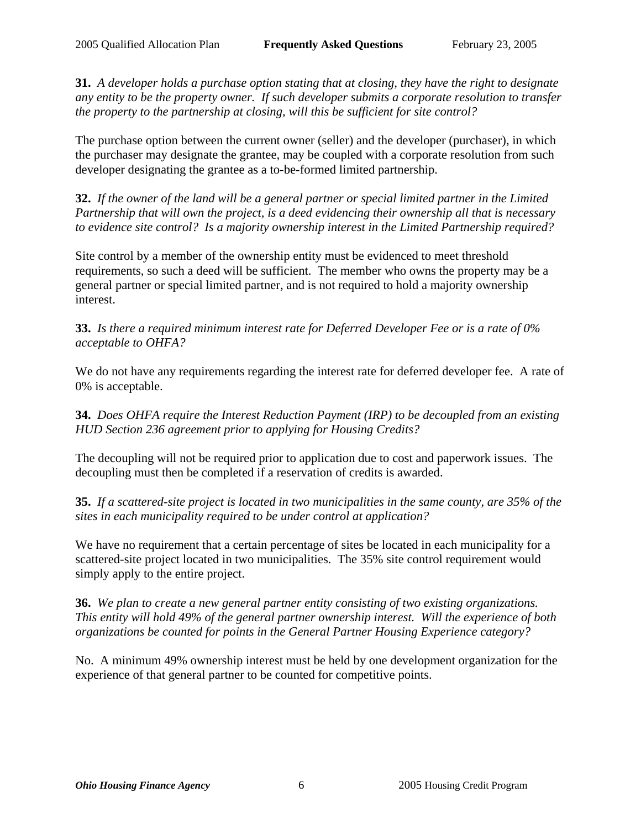**31.** *A developer holds a purchase option stating that at closing, they have the right to designate any entity to be the property owner. If such developer submits a corporate resolution to transfer the property to the partnership at closing, will this be sufficient for site control?*

The purchase option between the current owner (seller) and the developer (purchaser), in which the purchaser may designate the grantee, may be coupled with a corporate resolution from such developer designating the grantee as a to-be-formed limited partnership.

**32.** *If the owner of the land will be a general partner or special limited partner in the Limited Partnership that will own the project, is a deed evidencing their ownership all that is necessary to evidence site control? Is a majority ownership interest in the Limited Partnership required?*

Site control by a member of the ownership entity must be evidenced to meet threshold requirements, so such a deed will be sufficient. The member who owns the property may be a general partner or special limited partner, and is not required to hold a majority ownership interest.

**33.** *Is there a required minimum interest rate for Deferred Developer Fee or is a rate of 0% acceptable to OHFA?*

We do not have any requirements regarding the interest rate for deferred developer fee. A rate of 0% is acceptable.

**34.** *Does OHFA require the Interest Reduction Payment (IRP) to be decoupled from an existing HUD Section 236 agreement prior to applying for Housing Credits?*

The decoupling will not be required prior to application due to cost and paperwork issues. The decoupling must then be completed if a reservation of credits is awarded.

**35.** *If a scattered-site project is located in two municipalities in the same county, are 35% of the sites in each municipality required to be under control at application?*

We have no requirement that a certain percentage of sites be located in each municipality for a scattered-site project located in two municipalities. The 35% site control requirement would simply apply to the entire project.

**36.** *We plan to create a new general partner entity consisting of two existing organizations. This entity will hold 49% of the general partner ownership interest. Will the experience of both organizations be counted for points in the General Partner Housing Experience category?*

No. A minimum 49% ownership interest must be held by one development organization for the experience of that general partner to be counted for competitive points.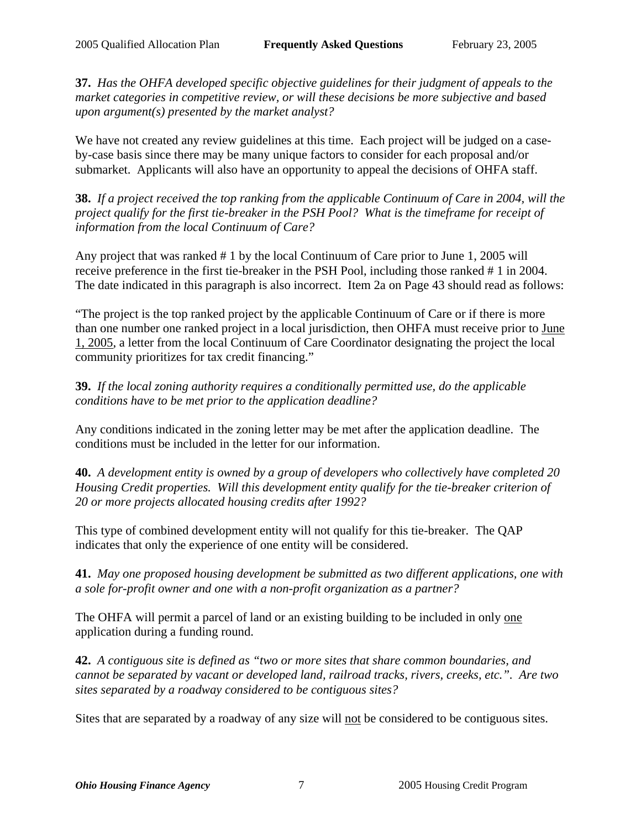**37.** *Has the OHFA developed specific objective guidelines for their judgment of appeals to the market categories in competitive review, or will these decisions be more subjective and based upon argument(s) presented by the market analyst?*

We have not created any review guidelines at this time. Each project will be judged on a caseby-case basis since there may be many unique factors to consider for each proposal and/or submarket. Applicants will also have an opportunity to appeal the decisions of OHFA staff.

**38.** *If a project received the top ranking from the applicable Continuum of Care in 2004, will the project qualify for the first tie-breaker in the PSH Pool? What is the timeframe for receipt of information from the local Continuum of Care?*

Any project that was ranked # 1 by the local Continuum of Care prior to June 1, 2005 will receive preference in the first tie-breaker in the PSH Pool, including those ranked # 1 in 2004. The date indicated in this paragraph is also incorrect. Item 2a on Page 43 should read as follows:

"The project is the top ranked project by the applicable Continuum of Care or if there is more than one number one ranked project in a local jurisdiction, then OHFA must receive prior to June 1, 2005, a letter from the local Continuum of Care Coordinator designating the project the local community prioritizes for tax credit financing."

**39.** *If the local zoning authority requires a conditionally permitted use, do the applicable conditions have to be met prior to the application deadline?*

Any conditions indicated in the zoning letter may be met after the application deadline. The conditions must be included in the letter for our information.

**40.** *A development entity is owned by a group of developers who collectively have completed 20 Housing Credit properties. Will this development entity qualify for the tie-breaker criterion of 20 or more projects allocated housing credits after 1992?*

This type of combined development entity will not qualify for this tie-breaker. The QAP indicates that only the experience of one entity will be considered.

**41.** *May one proposed housing development be submitted as two different applications, one with a sole for-profit owner and one with a non-profit organization as a partner?*

The OHFA will permit a parcel of land or an existing building to be included in only one application during a funding round.

**42.** *A contiguous site is defined as "two or more sites that share common boundaries, and cannot be separated by vacant or developed land, railroad tracks, rivers, creeks, etc.". Are two sites separated by a roadway considered to be contiguous sites?*

Sites that are separated by a roadway of any size will not be considered to be contiguous sites.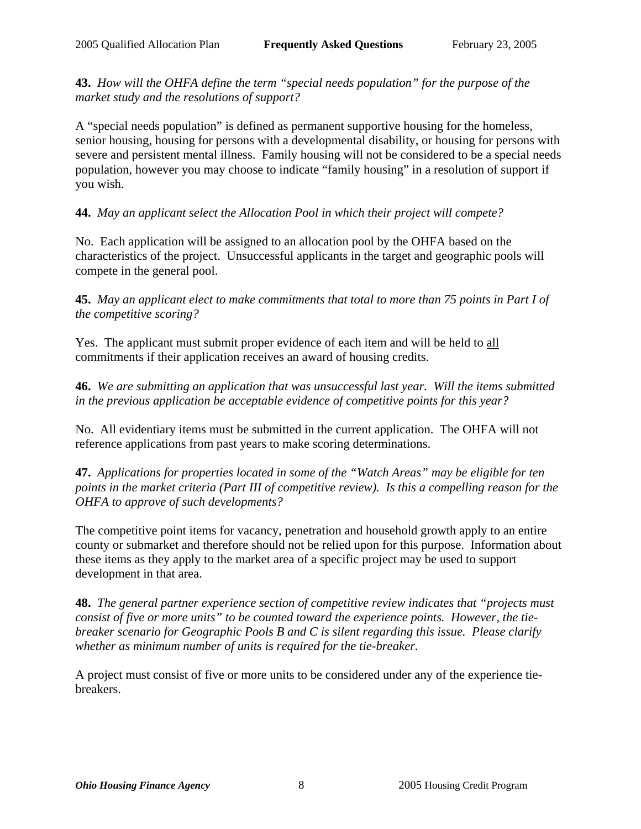**43.** *How will the OHFA define the term "special needs population" for the purpose of the market study and the resolutions of support?*

A "special needs population" is defined as permanent supportive housing for the homeless, senior housing, housing for persons with a developmental disability, or housing for persons with severe and persistent mental illness. Family housing will not be considered to be a special needs population, however you may choose to indicate "family housing" in a resolution of support if you wish.

# **44.** *May an applicant select the Allocation Pool in which their project will compete?*

No. Each application will be assigned to an allocation pool by the OHFA based on the characteristics of the project. Unsuccessful applicants in the target and geographic pools will compete in the general pool.

**45.** *May an applicant elect to make commitments that total to more than 75 points in Part I of the competitive scoring?*

Yes. The applicant must submit proper evidence of each item and will be held to all commitments if their application receives an award of housing credits.

**46.** *We are submitting an application that was unsuccessful last year. Will the items submitted in the previous application be acceptable evidence of competitive points for this year?*

No. All evidentiary items must be submitted in the current application. The OHFA will not reference applications from past years to make scoring determinations.

**47.** *Applications for properties located in some of the "Watch Areas" may be eligible for ten points in the market criteria (Part III of competitive review). Is this a compelling reason for the OHFA to approve of such developments?*

The competitive point items for vacancy, penetration and household growth apply to an entire county or submarket and therefore should not be relied upon for this purpose. Information about these items as they apply to the market area of a specific project may be used to support development in that area.

**48.** *The general partner experience section of competitive review indicates that "projects must consist of five or more units" to be counted toward the experience points. However, the tiebreaker scenario for Geographic Pools B and C is silent regarding this issue. Please clarify whether as minimum number of units is required for the tie-breaker.*

A project must consist of five or more units to be considered under any of the experience tiebreakers.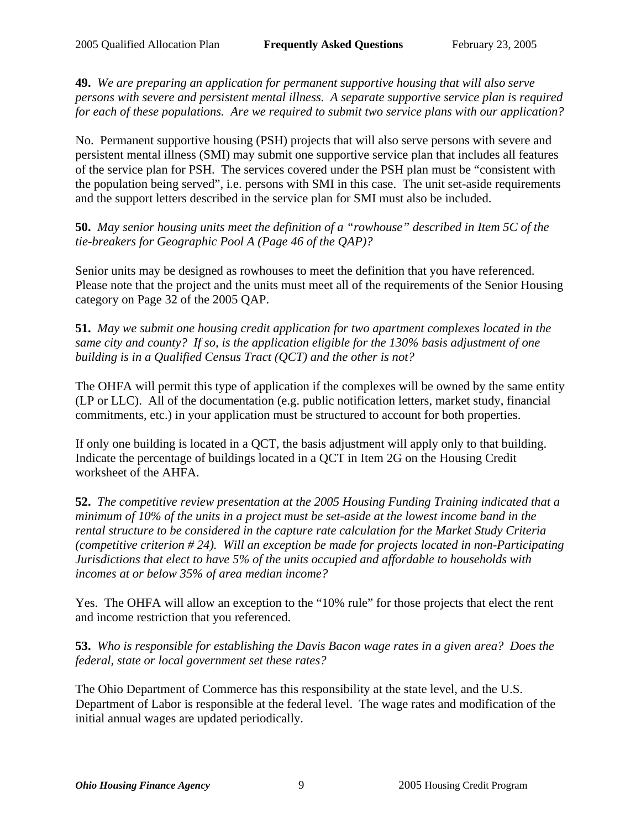**49.** *We are preparing an application for permanent supportive housing that will also serve persons with severe and persistent mental illness. A separate supportive service plan is required for each of these populations. Are we required to submit two service plans with our application?*

No. Permanent supportive housing (PSH) projects that will also serve persons with severe and persistent mental illness (SMI) may submit one supportive service plan that includes all features of the service plan for PSH. The services covered under the PSH plan must be "consistent with the population being served", i.e. persons with SMI in this case. The unit set-aside requirements and the support letters described in the service plan for SMI must also be included.

**50.** *May senior housing units meet the definition of a "rowhouse" described in Item 5C of the tie-breakers for Geographic Pool A (Page 46 of the QAP)?*

Senior units may be designed as rowhouses to meet the definition that you have referenced. Please note that the project and the units must meet all of the requirements of the Senior Housing category on Page 32 of the 2005 QAP.

**51.** *May we submit one housing credit application for two apartment complexes located in the same city and county? If so, is the application eligible for the 130% basis adjustment of one building is in a Qualified Census Tract (QCT) and the other is not?*

The OHFA will permit this type of application if the complexes will be owned by the same entity (LP or LLC). All of the documentation (e.g. public notification letters, market study, financial commitments, etc.) in your application must be structured to account for both properties.

If only one building is located in a QCT, the basis adjustment will apply only to that building. Indicate the percentage of buildings located in a QCT in Item 2G on the Housing Credit worksheet of the AHFA.

**52.** *The competitive review presentation at the 2005 Housing Funding Training indicated that a minimum of 10% of the units in a project must be set-aside at the lowest income band in the rental structure to be considered in the capture rate calculation for the Market Study Criteria (competitive criterion # 24). Will an exception be made for projects located in non-Participating Jurisdictions that elect to have 5% of the units occupied and affordable to households with incomes at or below 35% of area median income?*

Yes. The OHFA will allow an exception to the "10% rule" for those projects that elect the rent and income restriction that you referenced.

**53.** *Who is responsible for establishing the Davis Bacon wage rates in a given area? Does the federal, state or local government set these rates?*

The Ohio Department of Commerce has this responsibility at the state level, and the U.S. Department of Labor is responsible at the federal level. The wage rates and modification of the initial annual wages are updated periodically.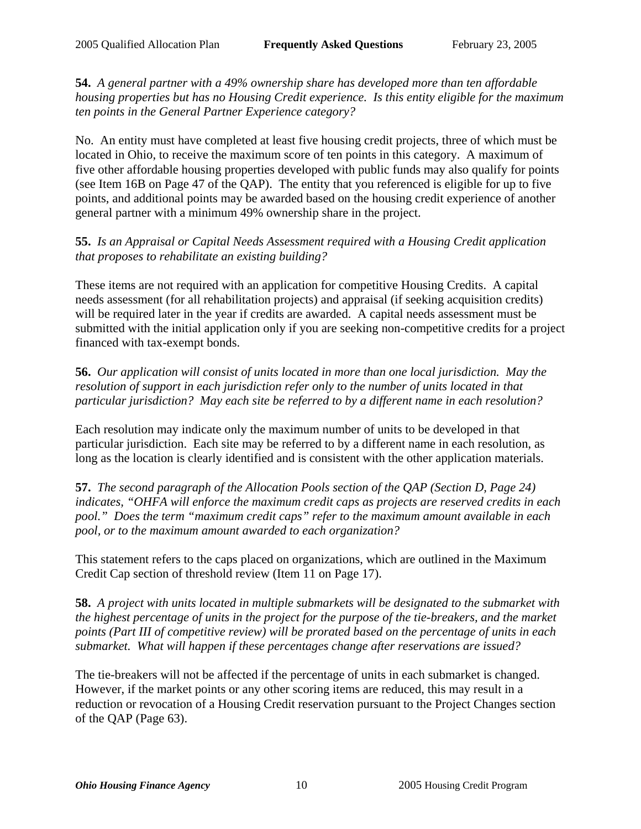**54.** *A general partner with a 49% ownership share has developed more than ten affordable housing properties but has no Housing Credit experience. Is this entity eligible for the maximum ten points in the General Partner Experience category?*

No. An entity must have completed at least five housing credit projects, three of which must be located in Ohio, to receive the maximum score of ten points in this category. A maximum of five other affordable housing properties developed with public funds may also qualify for points (see Item 16B on Page 47 of the QAP). The entity that you referenced is eligible for up to five points, and additional points may be awarded based on the housing credit experience of another general partner with a minimum 49% ownership share in the project.

## **55.** *Is an Appraisal or Capital Needs Assessment required with a Housing Credit application that proposes to rehabilitate an existing building?*

These items are not required with an application for competitive Housing Credits. A capital needs assessment (for all rehabilitation projects) and appraisal (if seeking acquisition credits) will be required later in the year if credits are awarded. A capital needs assessment must be submitted with the initial application only if you are seeking non-competitive credits for a project financed with tax-exempt bonds.

**56.** *Our application will consist of units located in more than one local jurisdiction. May the resolution of support in each jurisdiction refer only to the number of units located in that particular jurisdiction? May each site be referred to by a different name in each resolution?*

Each resolution may indicate only the maximum number of units to be developed in that particular jurisdiction. Each site may be referred to by a different name in each resolution, as long as the location is clearly identified and is consistent with the other application materials.

**57.** *The second paragraph of the Allocation Pools section of the QAP (Section D, Page 24) indicates, "OHFA will enforce the maximum credit caps as projects are reserved credits in each pool." Does the term "maximum credit caps" refer to the maximum amount available in each pool, or to the maximum amount awarded to each organization?*

This statement refers to the caps placed on organizations, which are outlined in the Maximum Credit Cap section of threshold review (Item 11 on Page 17).

**58.** *A project with units located in multiple submarkets will be designated to the submarket with the highest percentage of units in the project for the purpose of the tie-breakers, and the market points (Part III of competitive review) will be prorated based on the percentage of units in each submarket. What will happen if these percentages change after reservations are issued?*

The tie-breakers will not be affected if the percentage of units in each submarket is changed. However, if the market points or any other scoring items are reduced, this may result in a reduction or revocation of a Housing Credit reservation pursuant to the Project Changes section of the QAP (Page 63).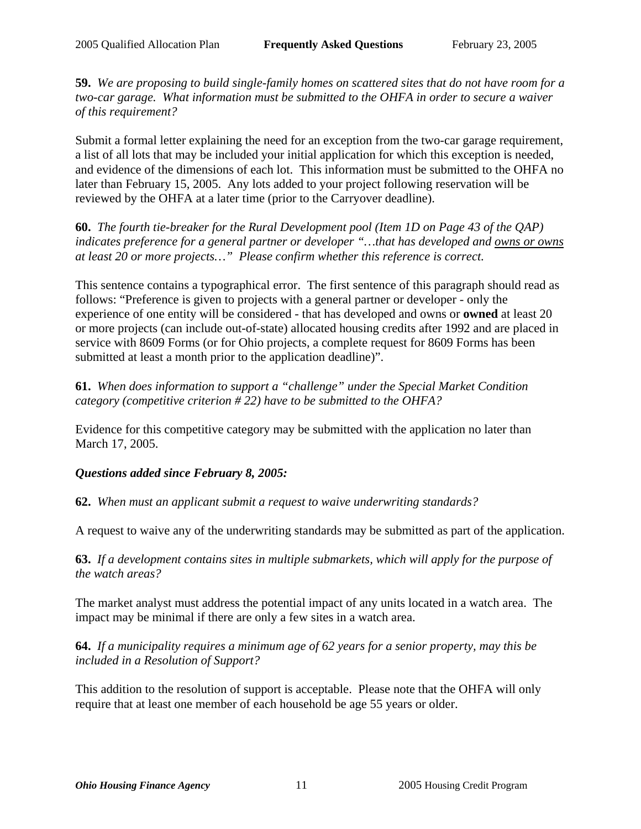**59.** *We are proposing to build single-family homes on scattered sites that do not have room for a two-car garage. What information must be submitted to the OHFA in order to secure a waiver of this requirement?*

Submit a formal letter explaining the need for an exception from the two-car garage requirement, a list of all lots that may be included your initial application for which this exception is needed, and evidence of the dimensions of each lot. This information must be submitted to the OHFA no later than February 15, 2005. Any lots added to your project following reservation will be reviewed by the OHFA at a later time (prior to the Carryover deadline).

**60.** *The fourth tie-breaker for the Rural Development pool (Item 1D on Page 43 of the QAP) indicates preference for a general partner or developer "…that has developed and owns or owns at least 20 or more projects…" Please confirm whether this reference is correct.*

This sentence contains a typographical error. The first sentence of this paragraph should read as follows: "Preference is given to projects with a general partner or developer - only the experience of one entity will be considered - that has developed and owns or **owned** at least 20 or more projects (can include out-of-state) allocated housing credits after 1992 and are placed in service with 8609 Forms (or for Ohio projects, a complete request for 8609 Forms has been submitted at least a month prior to the application deadline)".

**61.** *When does information to support a "challenge" under the Special Market Condition category (competitive criterion # 22) have to be submitted to the OHFA?*

Evidence for this competitive category may be submitted with the application no later than March 17, 2005.

### *Questions added since February 8, 2005:*

**62.** *When must an applicant submit a request to waive underwriting standards?*

A request to waive any of the underwriting standards may be submitted as part of the application.

**63.** *If a development contains sites in multiple submarkets, which will apply for the purpose of the watch areas?* 

The market analyst must address the potential impact of any units located in a watch area. The impact may be minimal if there are only a few sites in a watch area.

**64.** *If a municipality requires a minimum age of 62 years for a senior property, may this be included in a Resolution of Support?*

This addition to the resolution of support is acceptable. Please note that the OHFA will only require that at least one member of each household be age 55 years or older.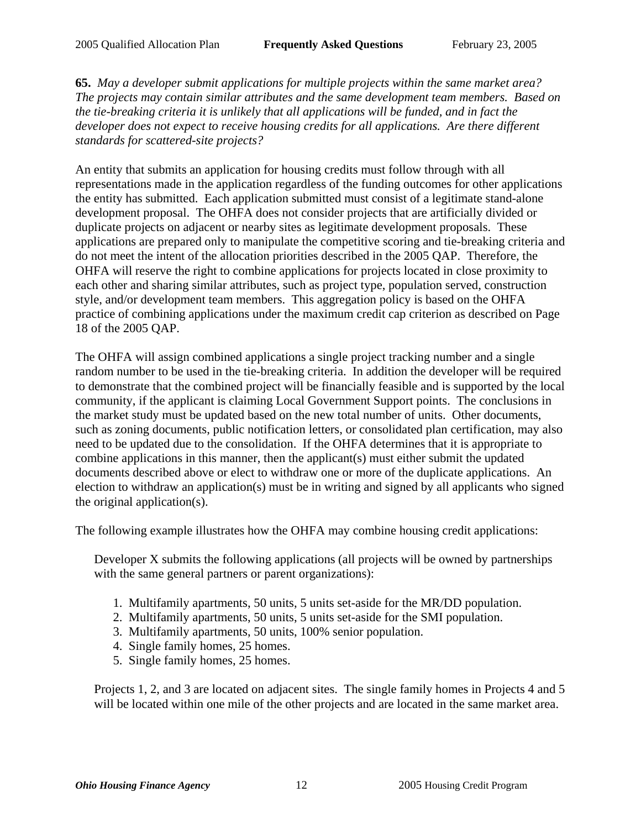**65.** *May a developer submit applications for multiple projects within the same market area? The projects may contain similar attributes and the same development team members. Based on the tie-breaking criteria it is unlikely that all applications will be funded, and in fact the developer does not expect to receive housing credits for all applications. Are there different standards for scattered-site projects?* 

An entity that submits an application for housing credits must follow through with all representations made in the application regardless of the funding outcomes for other applications the entity has submitted. Each application submitted must consist of a legitimate stand-alone development proposal. The OHFA does not consider projects that are artificially divided or duplicate projects on adjacent or nearby sites as legitimate development proposals. These applications are prepared only to manipulate the competitive scoring and tie-breaking criteria and do not meet the intent of the allocation priorities described in the 2005 QAP. Therefore, the OHFA will reserve the right to combine applications for projects located in close proximity to each other and sharing similar attributes, such as project type, population served, construction style, and/or development team members. This aggregation policy is based on the OHFA practice of combining applications under the maximum credit cap criterion as described on Page 18 of the 2005 QAP.

The OHFA will assign combined applications a single project tracking number and a single random number to be used in the tie-breaking criteria. In addition the developer will be required to demonstrate that the combined project will be financially feasible and is supported by the local community, if the applicant is claiming Local Government Support points. The conclusions in the market study must be updated based on the new total number of units. Other documents, such as zoning documents, public notification letters, or consolidated plan certification, may also need to be updated due to the consolidation. If the OHFA determines that it is appropriate to combine applications in this manner, then the applicant(s) must either submit the updated documents described above or elect to withdraw one or more of the duplicate applications. An election to withdraw an application(s) must be in writing and signed by all applicants who signed the original application(s).

The following example illustrates how the OHFA may combine housing credit applications:

Developer X submits the following applications (all projects will be owned by partnerships with the same general partners or parent organizations):

- 1. Multifamily apartments, 50 units, 5 units set-aside for the MR/DD population.
- 2. Multifamily apartments, 50 units, 5 units set-aside for the SMI population.
- 3. Multifamily apartments, 50 units, 100% senior population.
- 4. Single family homes, 25 homes.
- 5. Single family homes, 25 homes.

Projects 1, 2, and 3 are located on adjacent sites. The single family homes in Projects 4 and 5 will be located within one mile of the other projects and are located in the same market area.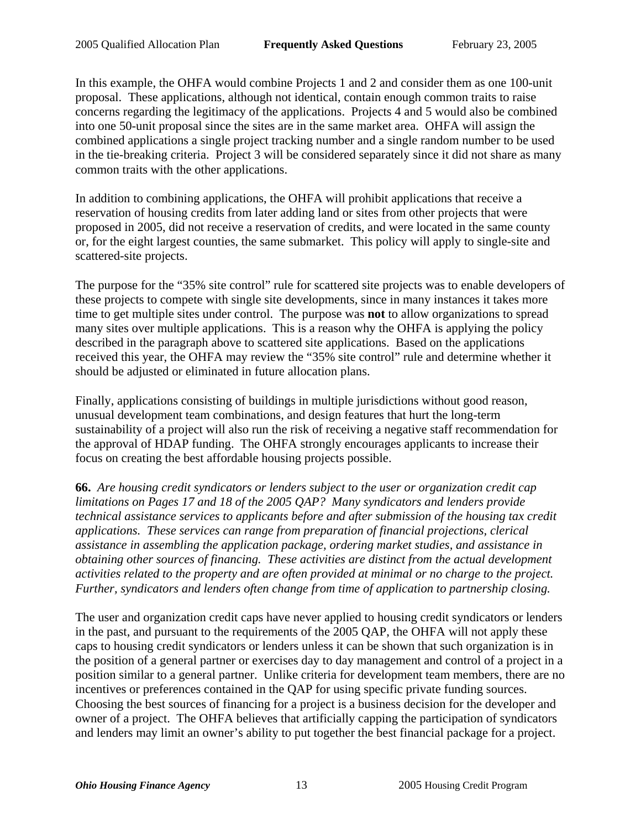In this example, the OHFA would combine Projects 1 and 2 and consider them as one 100-unit proposal. These applications, although not identical, contain enough common traits to raise concerns regarding the legitimacy of the applications. Projects 4 and 5 would also be combined into one 50-unit proposal since the sites are in the same market area. OHFA will assign the combined applications a single project tracking number and a single random number to be used in the tie-breaking criteria. Project 3 will be considered separately since it did not share as many common traits with the other applications.

In addition to combining applications, the OHFA will prohibit applications that receive a reservation of housing credits from later adding land or sites from other projects that were proposed in 2005, did not receive a reservation of credits, and were located in the same county or, for the eight largest counties, the same submarket. This policy will apply to single-site and scattered-site projects.

The purpose for the "35% site control" rule for scattered site projects was to enable developers of these projects to compete with single site developments, since in many instances it takes more time to get multiple sites under control. The purpose was **not** to allow organizations to spread many sites over multiple applications. This is a reason why the OHFA is applying the policy described in the paragraph above to scattered site applications. Based on the applications received this year, the OHFA may review the "35% site control" rule and determine whether it should be adjusted or eliminated in future allocation plans.

Finally, applications consisting of buildings in multiple jurisdictions without good reason, unusual development team combinations, and design features that hurt the long-term sustainability of a project will also run the risk of receiving a negative staff recommendation for the approval of HDAP funding. The OHFA strongly encourages applicants to increase their focus on creating the best affordable housing projects possible.

**66.** *Are housing credit syndicators or lenders subject to the user or organization credit cap limitations on Pages 17 and 18 of the 2005 QAP? Many syndicators and lenders provide technical assistance services to applicants before and after submission of the housing tax credit applications. These services can range from preparation of financial projections, clerical assistance in assembling the application package, ordering market studies, and assistance in obtaining other sources of financing. These activities are distinct from the actual development activities related to the property and are often provided at minimal or no charge to the project. Further, syndicators and lenders often change from time of application to partnership closing.*

The user and organization credit caps have never applied to housing credit syndicators or lenders in the past, and pursuant to the requirements of the 2005 QAP, the OHFA will not apply these caps to housing credit syndicators or lenders unless it can be shown that such organization is in the position of a general partner or exercises day to day management and control of a project in a position similar to a general partner. Unlike criteria for development team members, there are no incentives or preferences contained in the QAP for using specific private funding sources. Choosing the best sources of financing for a project is a business decision for the developer and owner of a project. The OHFA believes that artificially capping the participation of syndicators and lenders may limit an owner's ability to put together the best financial package for a project.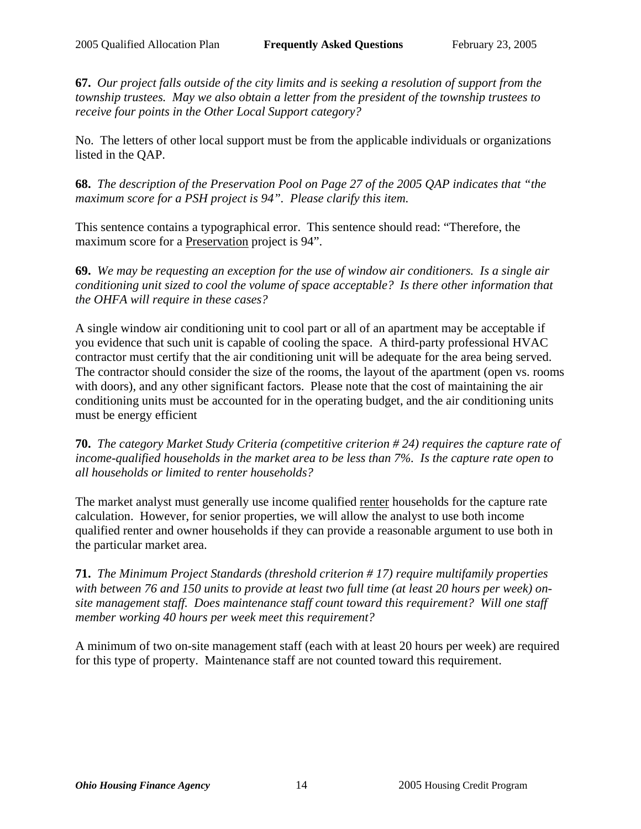**67.** *Our project falls outside of the city limits and is seeking a resolution of support from the township trustees. May we also obtain a letter from the president of the township trustees to receive four points in the Other Local Support category?*

No. The letters of other local support must be from the applicable individuals or organizations listed in the QAP.

**68.** *The description of the Preservation Pool on Page 27 of the 2005 QAP indicates that "the maximum score for a PSH project is 94". Please clarify this item.*

This sentence contains a typographical error. This sentence should read: "Therefore, the maximum score for a Preservation project is 94".

**69.** *We may be requesting an exception for the use of window air conditioners. Is a single air conditioning unit sized to cool the volume of space acceptable? Is there other information that the OHFA will require in these cases?*

A single window air conditioning unit to cool part or all of an apartment may be acceptable if you evidence that such unit is capable of cooling the space. A third-party professional HVAC contractor must certify that the air conditioning unit will be adequate for the area being served. The contractor should consider the size of the rooms, the layout of the apartment (open vs. rooms with doors), and any other significant factors. Please note that the cost of maintaining the air conditioning units must be accounted for in the operating budget, and the air conditioning units must be energy efficient

**70.** *The category Market Study Criteria (competitive criterion # 24) requires the capture rate of income-qualified households in the market area to be less than 7%. Is the capture rate open to all households or limited to renter households?*

The market analyst must generally use income qualified renter households for the capture rate calculation. However, for senior properties, we will allow the analyst to use both income qualified renter and owner households if they can provide a reasonable argument to use both in the particular market area.

**71.** *The Minimum Project Standards (threshold criterion # 17) require multifamily properties with between 76 and 150 units to provide at least two full time (at least 20 hours per week) onsite management staff. Does maintenance staff count toward this requirement? Will one staff member working 40 hours per week meet this requirement?*

A minimum of two on-site management staff (each with at least 20 hours per week) are required for this type of property. Maintenance staff are not counted toward this requirement.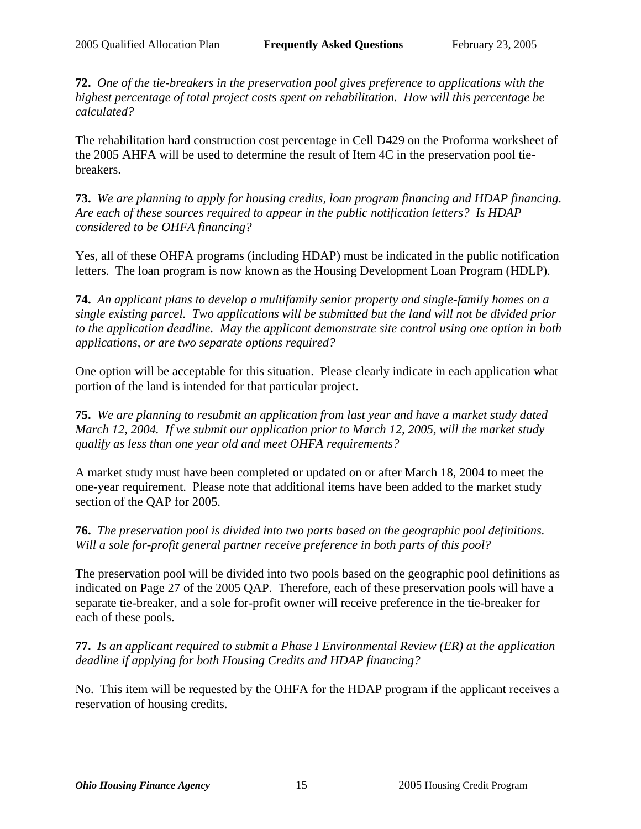**72.** *One of the tie-breakers in the preservation pool gives preference to applications with the highest percentage of total project costs spent on rehabilitation. How will this percentage be calculated?*

The rehabilitation hard construction cost percentage in Cell D429 on the Proforma worksheet of the 2005 AHFA will be used to determine the result of Item 4C in the preservation pool tiebreakers.

**73.** *We are planning to apply for housing credits, loan program financing and HDAP financing. Are each of these sources required to appear in the public notification letters? Is HDAP considered to be OHFA financing?*

Yes, all of these OHFA programs (including HDAP) must be indicated in the public notification letters. The loan program is now known as the Housing Development Loan Program (HDLP).

**74.** *An applicant plans to develop a multifamily senior property and single-family homes on a single existing parcel. Two applications will be submitted but the land will not be divided prior to the application deadline. May the applicant demonstrate site control using one option in both applications, or are two separate options required?*

One option will be acceptable for this situation. Please clearly indicate in each application what portion of the land is intended for that particular project.

**75.** *We are planning to resubmit an application from last year and have a market study dated March 12, 2004. If we submit our application prior to March 12, 2005, will the market study qualify as less than one year old and meet OHFA requirements?*

A market study must have been completed or updated on or after March 18, 2004 to meet the one-year requirement. Please note that additional items have been added to the market study section of the QAP for 2005.

**76.** *The preservation pool is divided into two parts based on the geographic pool definitions. Will a sole for-profit general partner receive preference in both parts of this pool?*

The preservation pool will be divided into two pools based on the geographic pool definitions as indicated on Page 27 of the 2005 QAP. Therefore, each of these preservation pools will have a separate tie-breaker, and a sole for-profit owner will receive preference in the tie-breaker for each of these pools.

**77.** *Is an applicant required to submit a Phase I Environmental Review (ER) at the application deadline if applying for both Housing Credits and HDAP financing?*

No. This item will be requested by the OHFA for the HDAP program if the applicant receives a reservation of housing credits.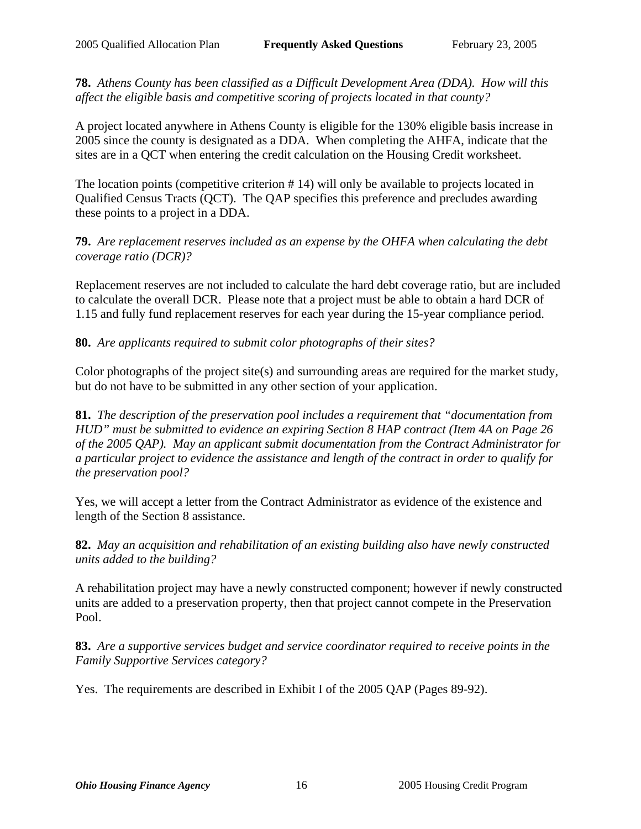**78.** *Athens County has been classified as a Difficult Development Area (DDA). How will this affect the eligible basis and competitive scoring of projects located in that county?*

A project located anywhere in Athens County is eligible for the 130% eligible basis increase in 2005 since the county is designated as a DDA. When completing the AHFA, indicate that the sites are in a QCT when entering the credit calculation on the Housing Credit worksheet.

The location points (competitive criterion # 14) will only be available to projects located in Qualified Census Tracts (QCT). The QAP specifies this preference and precludes awarding these points to a project in a DDA.

**79.** *Are replacement reserves included as an expense by the OHFA when calculating the debt coverage ratio (DCR)?*

Replacement reserves are not included to calculate the hard debt coverage ratio, but are included to calculate the overall DCR. Please note that a project must be able to obtain a hard DCR of 1.15 and fully fund replacement reserves for each year during the 15-year compliance period.

**80.** *Are applicants required to submit color photographs of their sites?*

Color photographs of the project site(s) and surrounding areas are required for the market study, but do not have to be submitted in any other section of your application.

**81.** *The description of the preservation pool includes a requirement that "documentation from HUD" must be submitted to evidence an expiring Section 8 HAP contract (Item 4A on Page 26 of the 2005 QAP). May an applicant submit documentation from the Contract Administrator for a particular project to evidence the assistance and length of the contract in order to qualify for the preservation pool?*

Yes, we will accept a letter from the Contract Administrator as evidence of the existence and length of the Section 8 assistance.

**82.** *May an acquisition and rehabilitation of an existing building also have newly constructed units added to the building?*

A rehabilitation project may have a newly constructed component; however if newly constructed units are added to a preservation property, then that project cannot compete in the Preservation Pool.

**83.** *Are a supportive services budget and service coordinator required to receive points in the Family Supportive Services category?*

Yes. The requirements are described in Exhibit I of the 2005 QAP (Pages 89-92).